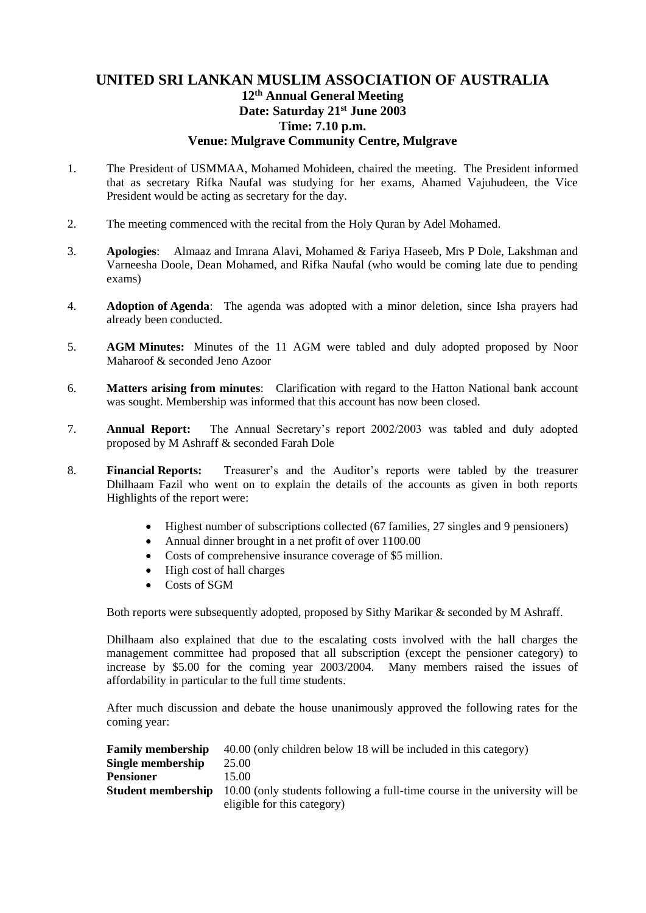## **UNITED SRI LANKAN MUSLIM ASSOCIATION OF AUSTRALIA 12th Annual General Meeting Date: Saturday 21st June 2003 Time: 7.10 p.m. Venue: Mulgrave Community Centre, Mulgrave**

- 1. The President of USMMAA, Mohamed Mohideen, chaired the meeting. The President informed that as secretary Rifka Naufal was studying for her exams, Ahamed Vajuhudeen, the Vice President would be acting as secretary for the day.
- 2. The meeting commenced with the recital from the Holy Quran by Adel Mohamed.
- 3. **Apologies**: Almaaz and Imrana Alavi, Mohamed & Fariya Haseeb, Mrs P Dole, Lakshman and Varneesha Doole, Dean Mohamed, and Rifka Naufal (who would be coming late due to pending exams)
- 4. **Adoption of Agenda**: The agenda was adopted with a minor deletion, since Isha prayers had already been conducted.
- 5. **AGM Minutes:** Minutes of the 11 AGM were tabled and duly adopted proposed by Noor Maharoof & seconded Jeno Azoor
- 6. **Matters arising from minutes**: Clarification with regard to the Hatton National bank account was sought. Membership was informed that this account has now been closed.
- 7. **Annual Report:** The Annual Secretary's report 2002/2003 was tabled and duly adopted proposed by M Ashraff & seconded Farah Dole
- 8. **Financial Reports:** Treasurer's and the Auditor's reports were tabled by the treasurer Dhilhaam Fazil who went on to explain the details of the accounts as given in both reports Highlights of the report were:
	- Highest number of subscriptions collected (67 families, 27 singles and 9 pensioners)
	- Annual dinner brought in a net profit of over 1100.00
	- Costs of comprehensive insurance coverage of \$5 million.
	- High cost of hall charges
	- Costs of SGM

Both reports were subsequently adopted, proposed by Sithy Marikar & seconded by M Ashraff.

Dhilhaam also explained that due to the escalating costs involved with the hall charges the management committee had proposed that all subscription (except the pensioner category) to increase by \$5.00 for the coming year 2003/2004. Many members raised the issues of affordability in particular to the full time students.

After much discussion and debate the house unanimously approved the following rates for the coming year:

|                   | <b>Family membership</b> 40.00 (only children below 18 will be included in this category)             |
|-------------------|-------------------------------------------------------------------------------------------------------|
| Single membership | 25.00                                                                                                 |
| <b>Pensioner</b>  | 15.00                                                                                                 |
|                   | <b>Student membership</b> 10.00 (only students following a full-time course in the university will be |
|                   | eligible for this category)                                                                           |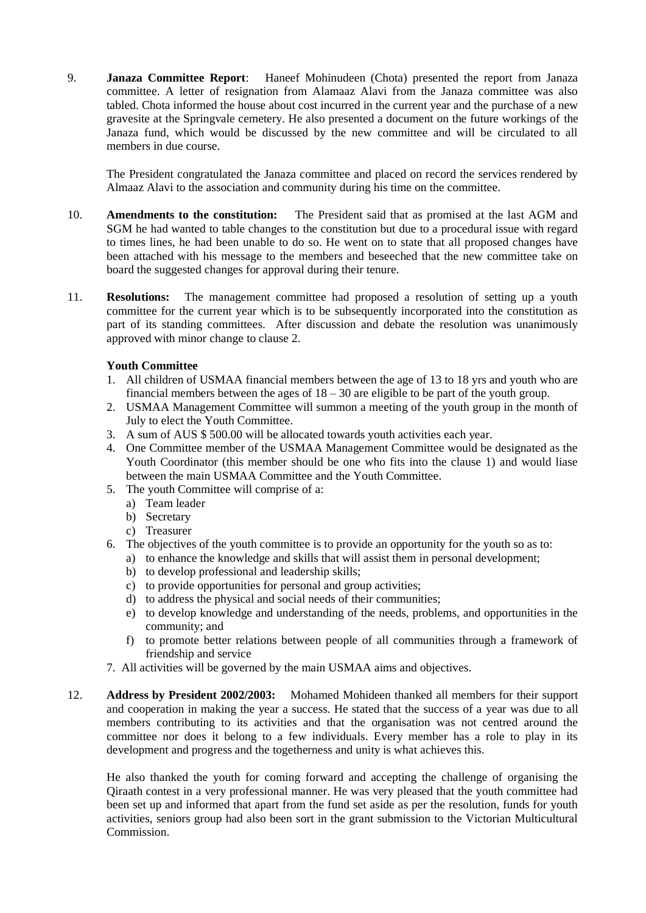9. **Janaza Committee Report**: Haneef Mohinudeen (Chota) presented the report from Janaza committee. A letter of resignation from Alamaaz Alavi from the Janaza committee was also tabled. Chota informed the house about cost incurred in the current year and the purchase of a new gravesite at the Springvale cemetery. He also presented a document on the future workings of the Janaza fund, which would be discussed by the new committee and will be circulated to all members in due course.

The President congratulated the Janaza committee and placed on record the services rendered by Almaaz Alavi to the association and community during his time on the committee.

- 10. **Amendments to the constitution:** The President said that as promised at the last AGM and SGM he had wanted to table changes to the constitution but due to a procedural issue with regard to times lines, he had been unable to do so. He went on to state that all proposed changes have been attached with his message to the members and beseeched that the new committee take on board the suggested changes for approval during their tenure.
- 11. **Resolutions:** The management committee had proposed a resolution of setting up a youth committee for the current year which is to be subsequently incorporated into the constitution as part of its standing committees. After discussion and debate the resolution was unanimously approved with minor change to clause 2.

#### **Youth Committee**

- 1. All children of USMAA financial members between the age of 13 to 18 yrs and youth who are financial members between the ages of  $18 - 30$  are eligible to be part of the youth group.
- 2. USMAA Management Committee will summon a meeting of the youth group in the month of July to elect the Youth Committee.
- 3. A sum of AUS \$ 500.00 will be allocated towards youth activities each year.
- 4. One Committee member of the USMAA Management Committee would be designated as the Youth Coordinator (this member should be one who fits into the clause 1) and would liase between the main USMAA Committee and the Youth Committee.
- 5. The youth Committee will comprise of a:
	- a) Team leader
	- b) Secretary
	- c) Treasurer
- 6. The objectives of the youth committee is to provide an opportunity for the youth so as to:
	- a) to enhance the knowledge and skills that will assist them in personal development;
	- b) to develop professional and leadership skills;
	- c) to provide opportunities for personal and group activities;
	- d) to address the physical and social needs of their communities;
	- e) to develop knowledge and understanding of the needs, problems, and opportunities in the community; and
	- f) to promote better relations between people of all communities through a framework of friendship and service
- 7. All activities will be governed by the main USMAA aims and objectives.
- 12. **Address by President 2002/2003:** Mohamed Mohideen thanked all members for their support and cooperation in making the year a success. He stated that the success of a year was due to all members contributing to its activities and that the organisation was not centred around the committee nor does it belong to a few individuals. Every member has a role to play in its development and progress and the togetherness and unity is what achieves this.

He also thanked the youth for coming forward and accepting the challenge of organising the Qiraath contest in a very professional manner. He was very pleased that the youth committee had been set up and informed that apart from the fund set aside as per the resolution, funds for youth activities, seniors group had also been sort in the grant submission to the Victorian Multicultural Commission.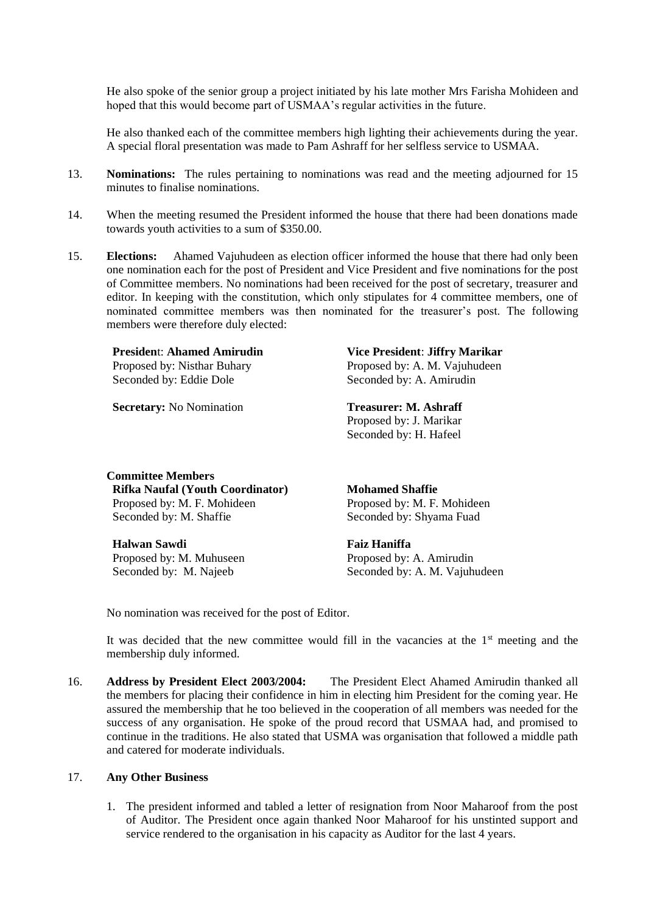He also spoke of the senior group a project initiated by his late mother Mrs Farisha Mohideen and hoped that this would become part of USMAA's regular activities in the future.

He also thanked each of the committee members high lighting their achievements during the year. A special floral presentation was made to Pam Ashraff for her selfless service to USMAA.

- 13. **Nominations:** The rules pertaining to nominations was read and the meeting adjourned for 15 minutes to finalise nominations.
- 14. When the meeting resumed the President informed the house that there had been donations made towards youth activities to a sum of \$350.00.
- 15. **Elections:** Ahamed Vajuhudeen as election officer informed the house that there had only been one nomination each for the post of President and Vice President and five nominations for the post of Committee members. No nominations had been received for the post of secretary, treasurer and editor. In keeping with the constitution, which only stipulates for 4 committee members, one of nominated committee members was then nominated for the treasurer's post. The following members were therefore duly elected:

**Presiden**t: **Ahamed Amirudin**

Proposed by: Nisthar Buhary Seconded by: Eddie Dole

**Secretary:** No Nomination **Treasurer: M. Ashraff** 

**Vice President**: **Jiffry Marikar** Proposed by: A. M. Vajuhudeen Seconded by: A. Amirudin

Proposed by: J. Marikar Seconded by: H. Hafeel

**Committee Members Rifka Naufal (Youth Coordinator)** Proposed by: M. F. Mohideen Seconded by: M. Shaffie

#### **Halwan Sawdi**

Proposed by: M. Muhuseen Seconded by: M. Najeeb

**Mohamed Shaffie** Proposed by: M. F. Mohideen Seconded by: Shyama Fuad

#### **Faiz Haniffa**

Proposed by: A. Amirudin Seconded by: A. M. Vajuhudeen

No nomination was received for the post of Editor.

It was decided that the new committee would fill in the vacancies at the  $1<sup>st</sup>$  meeting and the membership duly informed.

16. **Address by President Elect 2003/2004:** The President Elect Ahamed Amirudin thanked all the members for placing their confidence in him in electing him President for the coming year. He assured the membership that he too believed in the cooperation of all members was needed for the success of any organisation. He spoke of the proud record that USMAA had, and promised to continue in the traditions. He also stated that USMA was organisation that followed a middle path and catered for moderate individuals.

### 17. **Any Other Business**

1. The president informed and tabled a letter of resignation from Noor Maharoof from the post of Auditor. The President once again thanked Noor Maharoof for his unstinted support and service rendered to the organisation in his capacity as Auditor for the last 4 years.